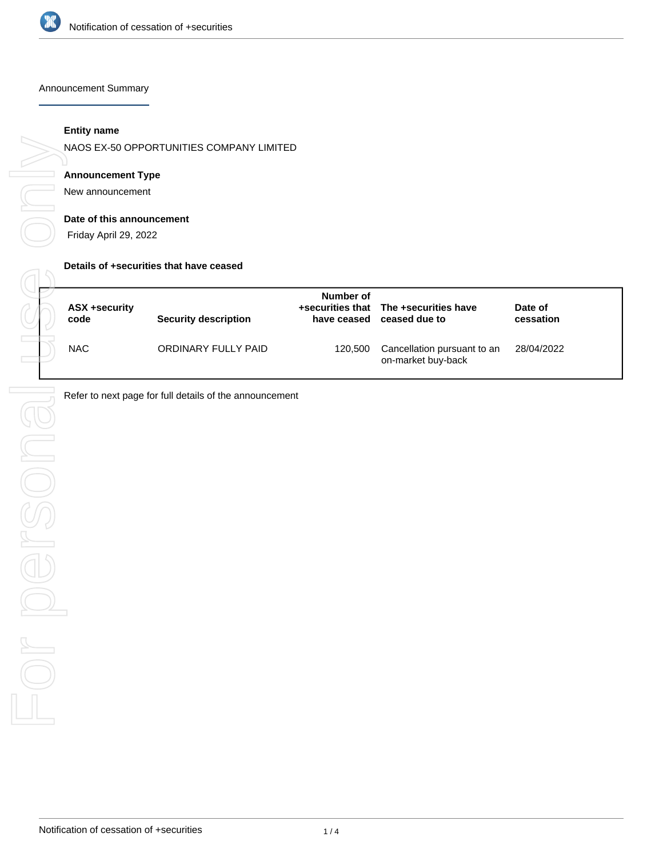

#### Announcement Summary

#### **Entity name**

NAOS EX-50 OPPORTUNITIES COMPANY LIMITED

## **Announcement Type**

New announcement

#### **Date of this announcement**

Friday April 29, 2022

#### **Details of +securities that have ceased**

| ASX +security<br>code | <b>Security description</b> | Number of<br>have ceased | +securities that The +securities have<br>ceased due to | Date of<br>cessation |
|-----------------------|-----------------------------|--------------------------|--------------------------------------------------------|----------------------|
| <b>NAC</b>            | ORDINARY FULLY PAID         | 120,500                  | Cancellation pursuant to an<br>on-market buy-back      | 28/04/2022           |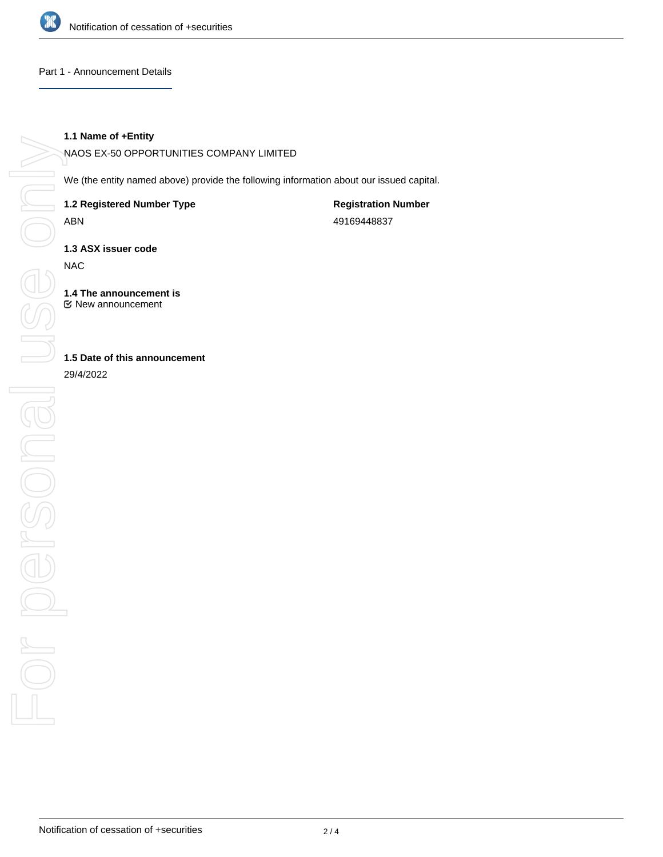

#### Part 1 - Announcement Details

# **1.1 Name of +Entity**

NAOS EX-50 OPPORTUNITIES COMPANY LIMITED

We (the entity named above) provide the following information about our issued capital.

**1.2 Registered Number Type**

ABN

**Registration Number** 49169448837

**1.3 ASX issuer code**

NAC

**1.4 The announcement is** New announcement

**1.5 Date of this announcement**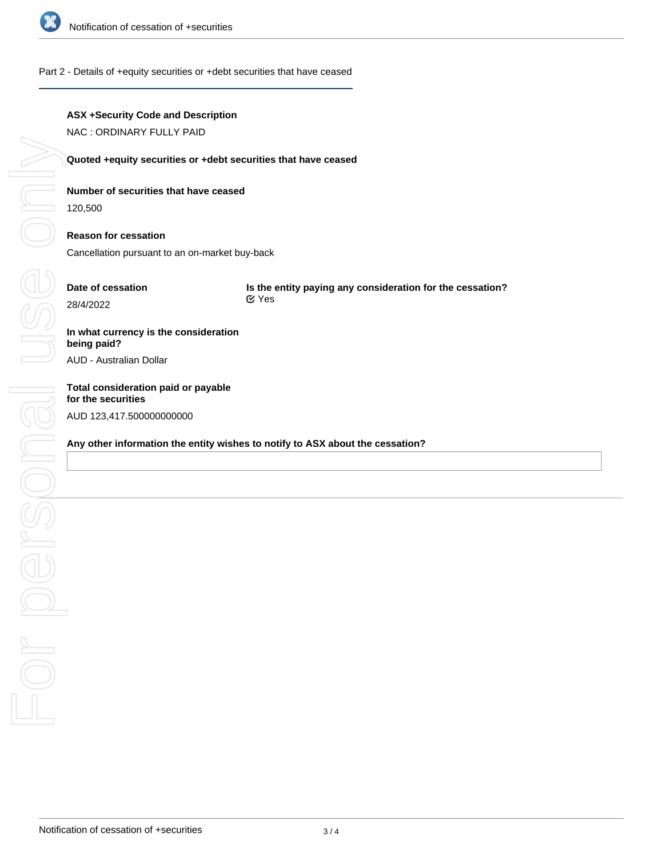

#### Part 2 - Details of +equity securities or +debt securities that have ceased

#### **ASX +Security Code and Description**

NAC : ORDINARY FULLY PAID

#### **Quoted +equity securities or +debt securities that have ceased**

#### **Number of securities that have ceased**

120,500

## **Reason for cessation**

Cancellation pursuant to an on-market buy-back

# **Date of cessation**

**Is the entity paying any consideration for the cessation?** Yes

# **In what currency is the consideration being paid?**

AUD - Australian Dollar

# **Total consideration paid or payable** AUD 123,417.500000000000

#### **Any other information the entity wishes to notify to ASX about the cessation?**